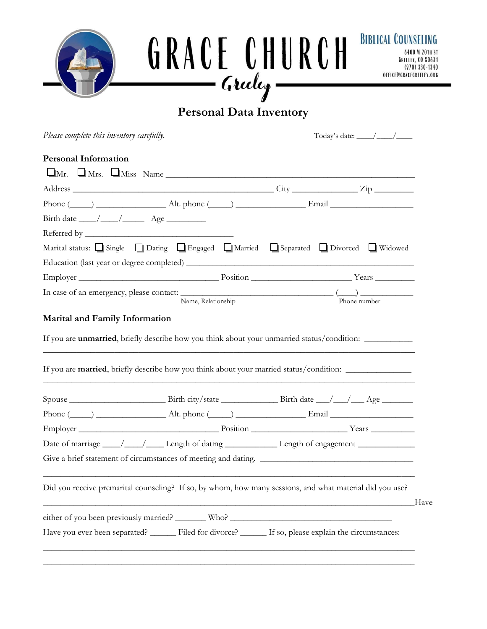

# **Personal Data Inventory**

*Please complete this inventory carefully.* Today's date: \_\_\_\_/\_\_\_\_/\_\_\_\_

#### **Personal Information**

| $\Box$ Mr. $\Box$ Mrs. $\Box$ Miss Name                                                                                                                                                                                              |              |
|--------------------------------------------------------------------------------------------------------------------------------------------------------------------------------------------------------------------------------------|--------------|
|                                                                                                                                                                                                                                      |              |
| Phone $(\_\_\_\_)$ $\_\_\_\_\_\_$ Alt. phone $(\_\_\_\)_$ $\_\_\_\_\_\_$ Email $\_\_\_\_\_\_\_\_$                                                                                                                                    |              |
| Birth date $\_\_\_\_\_\_\_\_\_\_\$ Age $\_\_\_\_\_\_\_\_\_\_\_\_\$                                                                                                                                                                   |              |
|                                                                                                                                                                                                                                      |              |
| Marital status: Single Dating Dating Engaged DMarried DSeparated DDivorced Nidowed                                                                                                                                                   |              |
|                                                                                                                                                                                                                                      |              |
| Employer <u>Nearly Boston Nearly Nearly Nearly Nearly Nearly Nearly Nearly Nearly Nearly Nearly Nearly Nearly Nearly Nearly Nearly Nearly Nearly Nearly Nearly Nearly Nearly Nearly Nearly Nearly Nearly Nearly Nearly Nearly Ne</u> |              |
| In case of an emergency, please contact: $\frac{1}{\sqrt{2\pi}}$<br>Name, Relationship                                                                                                                                               | Phone number |
| <b>Marital and Family Information</b>                                                                                                                                                                                                |              |

If you are **unmarried**, briefly describe how you think about your unmarried status/condition: \_\_\_\_\_\_\_\_\_\_\_\_\_\_\_\_\_\_

If you are **married**, briefly describe how you think about your married status/condition: \_\_\_\_\_\_\_\_\_\_\_\_\_\_\_\_\_\_\_\_\_\_ \_\_\_\_\_\_\_\_\_\_\_\_\_\_\_\_\_\_\_\_\_\_\_\_\_\_\_\_\_\_\_\_\_\_\_\_\_\_\_\_\_\_\_\_\_\_\_\_\_\_\_\_\_\_\_\_\_\_\_\_\_\_\_\_\_\_\_\_\_\_\_\_\_\_\_\_\_\_

\_\_\_\_\_\_\_\_\_\_\_\_\_\_\_\_\_\_\_\_\_\_\_\_\_\_\_\_\_\_\_\_\_\_\_\_\_\_\_\_\_\_\_\_\_\_\_\_\_\_\_\_\_\_\_\_\_\_\_\_\_\_\_\_\_\_\_\_\_\_\_\_\_\_\_\_\_\_

|                                                                                   | Phone $(\_\_\_\_\_\_\$ Alt. phone $(\_\_\_\_\_\_\$ Email $\_\_\_\_\$                                     |      |
|-----------------------------------------------------------------------------------|----------------------------------------------------------------------------------------------------------|------|
|                                                                                   |                                                                                                          |      |
|                                                                                   | Date of marriage ____/____/____Length of dating ______________Length of engagement ________________      |      |
|                                                                                   | Give a brief statement of circumstances of meeting and dating.                                           |      |
|                                                                                   | Did you receive premarital counseling? If so, by whom, how many sessions, and what material did you use? | Have |
| either of you been previously married? ________ Who? ____________________________ |                                                                                                          |      |
|                                                                                   | Have you ever been separated? Filed for divorce? If so, please explain the circumstances:                |      |
|                                                                                   |                                                                                                          |      |

\_\_\_\_\_\_\_\_\_\_\_\_\_\_\_\_\_\_\_\_\_\_\_\_\_\_\_\_\_\_\_\_\_\_\_\_\_\_\_\_\_\_\_\_\_\_\_\_\_\_\_\_\_\_\_\_\_\_\_\_\_\_\_\_\_\_\_\_\_\_\_\_\_\_\_\_\_\_\_\_\_\_\_\_\_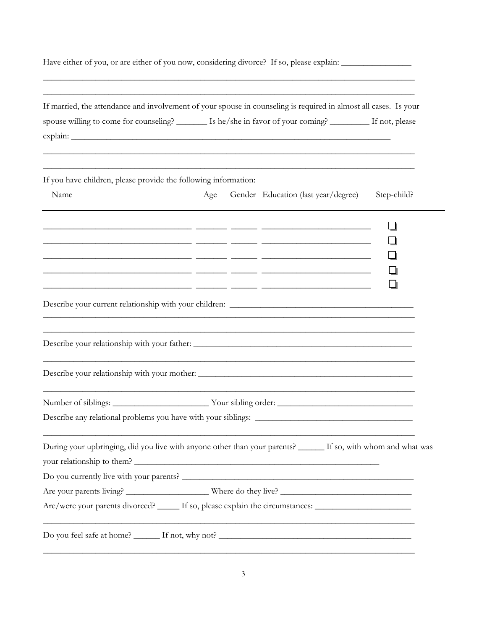| Have either of you, or are either of you now, considering divorce? If so, please explain: ____________________                                                                                                                                 |     |                                     |             |
|------------------------------------------------------------------------------------------------------------------------------------------------------------------------------------------------------------------------------------------------|-----|-------------------------------------|-------------|
| If married, the attendance and involvement of your spouse in counseling is required in almost all cases. Is your<br>spouse willing to come for counseling? _______ Is he/she in favor of your coming? ________ If not, please                  |     |                                     |             |
| If you have children, please provide the following information:                                                                                                                                                                                |     |                                     |             |
| Name                                                                                                                                                                                                                                           | Age | Gender Education (last year/degree) | Step-child? |
| <u> 2000 - Andrea Andrew American (American American American American American American American American (Ameri</u><br><u> 1999 - Jan James James (1999), president (h. 1989), president (h. 1989), president (h. 1989), president (h. 1</u> |     |                                     |             |
|                                                                                                                                                                                                                                                |     |                                     |             |
|                                                                                                                                                                                                                                                |     |                                     |             |
| Number of siblings: __________________________Your sibling order: __________________________________                                                                                                                                           |     |                                     |             |
| Describe any relational problems you have with your siblings:                                                                                                                                                                                  |     |                                     |             |
| During your upbringing, did you live with anyone other than your parents? _____ If so, with whom and what was                                                                                                                                  |     |                                     |             |
|                                                                                                                                                                                                                                                |     |                                     |             |
| Are/were your parents divorced? _____ If so, please explain the circumstances: ____________________                                                                                                                                            |     |                                     |             |
|                                                                                                                                                                                                                                                |     |                                     |             |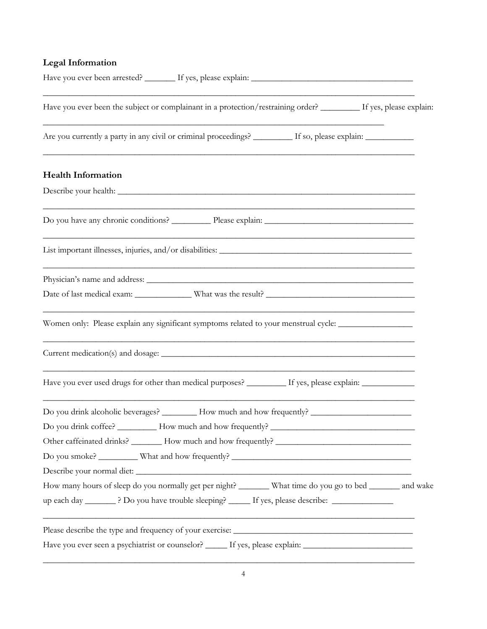## **Legal Information**

| Have you ever been the subject or complainant in a protection/restraining order? _______ If yes, please explain:                                                                                                  |
|-------------------------------------------------------------------------------------------------------------------------------------------------------------------------------------------------------------------|
| Are you currently a party in any civil or criminal proceedings? ________ If so, please explain: __________                                                                                                        |
| <b>Health Information</b>                                                                                                                                                                                         |
|                                                                                                                                                                                                                   |
|                                                                                                                                                                                                                   |
|                                                                                                                                                                                                                   |
|                                                                                                                                                                                                                   |
| Women only: Please explain any significant symptoms related to your menstrual cycle: _______________                                                                                                              |
|                                                                                                                                                                                                                   |
| Have you ever used drugs for other than medical purposes? _________ If yes, please explain: ____________                                                                                                          |
| Do you drink alcoholic beverages? ________ How much and how frequently? ___________________________                                                                                                               |
| Do you drink coffee? ___________ How much and how frequently? ____________                                                                                                                                        |
|                                                                                                                                                                                                                   |
|                                                                                                                                                                                                                   |
|                                                                                                                                                                                                                   |
| How many hours of sleep do you normally get per night? _______ What time do you go to bed ______ and wake<br>up each day _________? Do you have trouble sleeping? _______ If yes, please describe: ______________ |
| Please describe the type and frequency of your exercise:                                                                                                                                                          |
| Have you ever seen a psychiatrist or counselor? ______ If yes, please explain: _______________________________                                                                                                    |

\_\_\_\_\_\_\_\_\_\_\_\_\_\_\_\_\_\_\_\_\_\_\_\_\_\_\_\_\_\_\_\_\_\_\_\_\_\_\_\_\_\_\_\_\_\_\_\_\_\_\_\_\_\_\_\_\_\_\_\_\_\_\_\_\_\_\_\_\_\_\_\_\_\_\_\_\_\_\_\_\_\_\_\_\_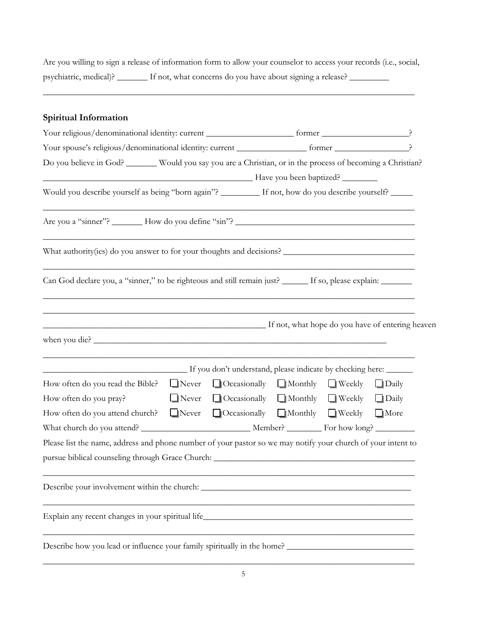Are you willing to sign a release of information form to allow your counselor to access your records (i.e., social, psychiatric, medical)? \_\_\_\_\_\_\_ If not, what concerns do you have about signing a release? \_\_\_\_\_\_\_\_\_

\_\_\_\_\_\_\_\_\_\_\_\_\_\_\_\_\_\_\_\_\_\_\_\_\_\_\_\_\_\_\_\_\_\_\_\_\_\_\_\_\_\_\_\_\_\_\_\_\_\_\_\_\_\_\_\_\_\_\_\_\_\_\_\_\_\_\_\_\_\_\_\_\_\_\_\_\_\_\_\_\_\_\_\_\_

#### **Spiritual Information**

| Your spouse's religious/denominational identity: current _________________ former _____________________?                                        |              |                                                  |  |  |              |
|-------------------------------------------------------------------------------------------------------------------------------------------------|--------------|--------------------------------------------------|--|--|--------------|
| Do you believe in God? ______ Would you say you are a Christian, or in the process of becoming a Christian?                                     |              |                                                  |  |  |              |
|                                                                                                                                                 |              |                                                  |  |  |              |
| Would you describe yourself as being "born again"? _______ If not, how do you describe yourself? ____                                           |              |                                                  |  |  |              |
|                                                                                                                                                 |              |                                                  |  |  |              |
|                                                                                                                                                 |              |                                                  |  |  |              |
| Can God declare you, a "sinner," to be righteous and still remain just? ______ If so, please explain: _______                                   |              |                                                  |  |  |              |
|                                                                                                                                                 |              |                                                  |  |  |              |
| If not, what hope do you have of entering heaven                                                                                                |              |                                                  |  |  |              |
|                                                                                                                                                 |              |                                                  |  |  |              |
| If you don't understand, please indicate by checking here:                                                                                      |              |                                                  |  |  |              |
| How often do you read the Bible?                                                                                                                | $\Box$ Never | $\Box$ Occasionally $\Box$ Monthly $\Box$ Weekly |  |  | $\Box$ Daily |
|                                                                                                                                                 | $\Box$ Never | □ Occasionally □ Monthly □ Weekly                |  |  | $\Box$ Daily |
|                                                                                                                                                 | $\Box$ Never | □ Occasionally □ Monthly □ Weekly □ More         |  |  |              |
|                                                                                                                                                 |              |                                                  |  |  |              |
| How often do you attend church?<br>Please list the name, address and phone number of your pastor so we may notify your church of your intent to |              |                                                  |  |  |              |
| How often do you pray?<br>pursue biblical counseling through Grace Church: ________________________________                                     |              |                                                  |  |  |              |
|                                                                                                                                                 |              |                                                  |  |  |              |
|                                                                                                                                                 |              |                                                  |  |  |              |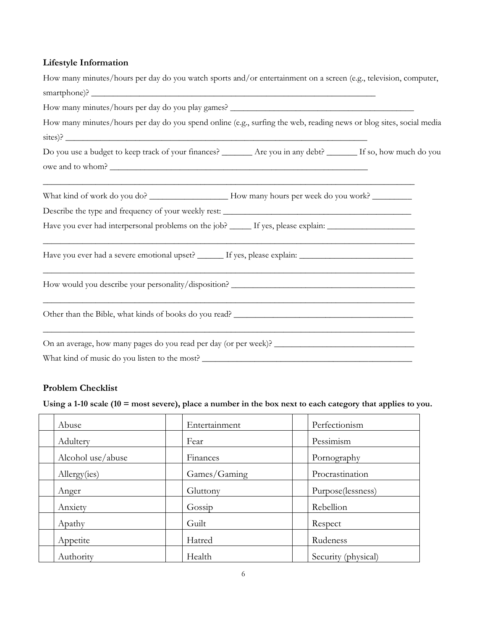### **Lifestyle Information**

| How many minutes/hours per day do you watch sports and/or entertainment on a screen (e.g., television, computer,    |
|---------------------------------------------------------------------------------------------------------------------|
|                                                                                                                     |
|                                                                                                                     |
| How many minutes/hours per day do you spend online (e.g., surfing the web, reading news or blog sites, social media |
| $\frac{1}{2}$ sites)?                                                                                               |
| Do you use a budget to keep track of your finances? ______ Are you in any debt? _____ If so, how much do you        |
| owe and to whom?                                                                                                    |
|                                                                                                                     |
|                                                                                                                     |
| Have you ever had interpersonal problems on the job? _____ If yes, please explain: ________________                 |
| Have you ever had a severe emotional upset? ______ If yes, please explain: _________________________                |
| ,我们也不能在这里的时候,我们也不能在这里的时候,我们也不能会在这里的时候,我们也不能会在这里的时候,我们也不能会在这里的时候,我们也不能会在这里的时候,我们也不                                   |
|                                                                                                                     |
|                                                                                                                     |
|                                                                                                                     |

#### **Problem Checklist**

**Using a 1-10 scale (10 = most severe), place a number in the box next to each category that applies to you.**

| Abuse             | Entertainment | Perfectionism       |
|-------------------|---------------|---------------------|
| Adultery          | Fear          | Pessimism           |
| Alcohol use/abuse | Finances      | Pornography         |
| Allergy(ies)      | Games/Gaming  | Procrastination     |
| Anger             | Gluttony      | Purpose(lessness)   |
| Anxiety           | Gossip        | Rebellion           |
| Apathy            | Guilt         | Respect             |
| Appetite          | Hatred        | Rudeness            |
| Authority         | Health        | Security (physical) |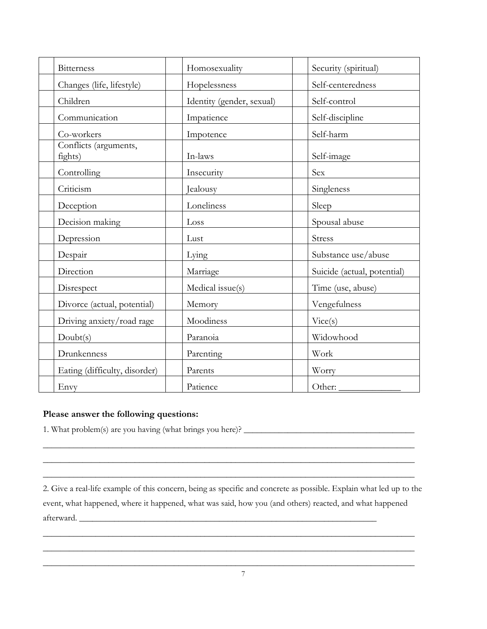| <b>Bitterness</b>                | Homosexuality             | Security (spiritual)        |
|----------------------------------|---------------------------|-----------------------------|
| Changes (life, lifestyle)        | Hopelessness              | Self-centeredness           |
| Children                         | Identity (gender, sexual) | Self-control                |
| Communication                    | Impatience                | Self-discipline             |
| Co-workers                       | Impotence                 | Self-harm                   |
| Conflicts (arguments,<br>fights) | In-laws                   | Self-image                  |
| Controlling                      | Insecurity                | Sex                         |
| Criticism                        | Jealousy                  | Singleness                  |
| Deception                        | Loneliness                | Sleep                       |
| Decision making                  | Loss                      | Spousal abuse               |
| Depression                       | Lust                      | <b>Stress</b>               |
| Despair                          | Lying                     | Substance use/abuse         |
| Direction                        | Marriage                  | Suicide (actual, potential) |
| Disrespect                       | Medical issue(s)          | Time (use, abuse)           |
| Divorce (actual, potential)      | Memory                    | Vengefulness                |
| Driving anxiety/road rage        | Moodiness                 | Vice(s)                     |
| Doubt(s)                         | Paranoia                  | Widowhood                   |
| Drunkenness                      | Parenting                 | Work                        |
| Eating (difficulty, disorder)    | Parents                   | Worry                       |
| Envy                             | Patience                  | Other:                      |

#### **Please answer the following questions:**

1. What problem(s) are you having (what brings you here)? \_\_\_\_\_\_\_\_\_\_\_\_\_\_\_\_\_\_\_\_\_\_\_\_\_\_\_\_\_\_\_\_\_\_\_\_\_\_\_

2. Give a real-life example of this concern, being as specific and concrete as possible. Explain what led up to the event, what happened, where it happened, what was said, how you (and others) reacted, and what happened afterward.

\_\_\_\_\_\_\_\_\_\_\_\_\_\_\_\_\_\_\_\_\_\_\_\_\_\_\_\_\_\_\_\_\_\_\_\_\_\_\_\_\_\_\_\_\_\_\_\_\_\_\_\_\_\_\_\_\_\_\_\_\_\_\_\_\_\_\_\_\_\_\_\_\_\_\_\_\_\_\_\_\_\_\_\_\_ \_\_\_\_\_\_\_\_\_\_\_\_\_\_\_\_\_\_\_\_\_\_\_\_\_\_\_\_\_\_\_\_\_\_\_\_\_\_\_\_\_\_\_\_\_\_\_\_\_\_\_\_\_\_\_\_\_\_\_\_\_\_\_\_\_\_\_\_\_\_\_\_\_\_\_\_\_\_\_\_\_\_\_\_\_ \_\_\_\_\_\_\_\_\_\_\_\_\_\_\_\_\_\_\_\_\_\_\_\_\_\_\_\_\_\_\_\_\_\_\_\_\_\_\_\_\_\_\_\_\_\_\_\_\_\_\_\_\_\_\_\_\_\_\_\_\_\_\_\_\_\_\_\_\_\_\_\_\_\_\_\_\_\_\_\_\_\_\_\_\_

\_\_\_\_\_\_\_\_\_\_\_\_\_\_\_\_\_\_\_\_\_\_\_\_\_\_\_\_\_\_\_\_\_\_\_\_\_\_\_\_\_\_\_\_\_\_\_\_\_\_\_\_\_\_\_\_\_\_\_\_\_\_\_\_\_\_\_\_\_\_\_\_\_\_\_\_\_\_\_\_\_\_\_\_\_ \_\_\_\_\_\_\_\_\_\_\_\_\_\_\_\_\_\_\_\_\_\_\_\_\_\_\_\_\_\_\_\_\_\_\_\_\_\_\_\_\_\_\_\_\_\_\_\_\_\_\_\_\_\_\_\_\_\_\_\_\_\_\_\_\_\_\_\_\_\_\_\_\_\_\_\_\_\_\_\_\_\_\_\_\_ \_\_\_\_\_\_\_\_\_\_\_\_\_\_\_\_\_\_\_\_\_\_\_\_\_\_\_\_\_\_\_\_\_\_\_\_\_\_\_\_\_\_\_\_\_\_\_\_\_\_\_\_\_\_\_\_\_\_\_\_\_\_\_\_\_\_\_\_\_\_\_\_\_\_\_\_\_\_\_\_\_\_\_\_\_